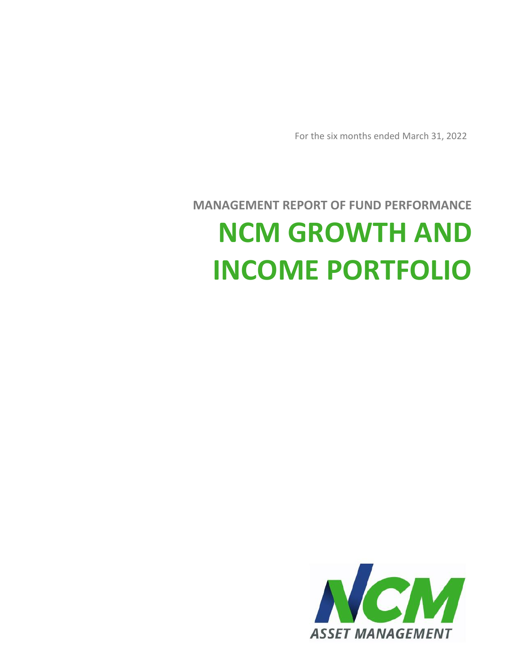

# **MANAGEMENT REPORT OF FUND PERFORMANCE NCM GROWTH AND INCOME PORTFOLIO**

For the six months ended March 31, 2022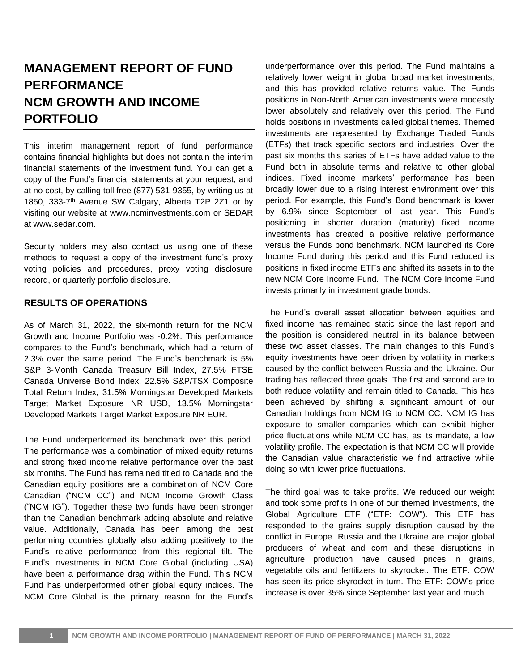# **MANAGEMENT REPORT OF FUND PERFORMANCE NCM GROWTH AND INCOME PORTFOLIO**

This interim management report of fund performance contains financial highlights but does not contain the interim financial statements of the investment fund. You can get a copy of the Fund's financial statements at your request, and at no cost, by calling toll free (877) 531-9355, by writing us at 1850, 333-7 th Avenue SW Calgary, Alberta T2P 2Z1 or by visiting our website at www.ncminvestments.com or SEDAR at www.sedar.com.

Security holders may also contact us using one of these methods to request a copy of the investment fund's proxy voting policies and procedures, proxy voting disclosure record, or quarterly portfolio disclosure.

#### **RESULTS OF OPERATIONS**

As of March 31, 2022, the six-month return for the NCM Growth and Income Portfolio was -0.2%. This performance compares to the Fund's benchmark, which had a return of 2.3% over the same period. The Fund's benchmark is 5% S&P 3-Month Canada Treasury Bill Index, 27.5% FTSE Canada Universe Bond Index, 22.5% S&P/TSX Composite Total Return Index, 31.5% Morningstar Developed Markets Target Market Exposure NR USD, 13.5% Morningstar Developed Markets Target Market Exposure NR EUR.

The Fund underperformed its benchmark over this period. The performance was a combination of mixed equity returns and strong fixed income relative performance over the past six months. The Fund has remained titled to Canada and the Canadian equity positions are a combination of NCM Core Canadian ("NCM CC") and NCM Income Growth Class ("NCM IG"). Together these two funds have been stronger than the Canadian benchmark adding absolute and relative value. Additionally, Canada has been among the best performing countries globally also adding positively to the Fund's relative performance from this regional tilt. The Fund's investments in NCM Core Global (including USA) have been a performance drag within the Fund. This NCM Fund has underperformed other global equity indices. The NCM Core Global is the primary reason for the Fund's underperformance over this period. The Fund maintains a relatively lower weight in global broad market investments, and this has provided relative returns value. The Funds positions in Non-North American investments were modestly lower absolutely and relatively over this period. The Fund holds positions in investments called global themes. Themed investments are represented by Exchange Traded Funds (ETFs) that track specific sectors and industries. Over the past six months this series of ETFs have added value to the Fund both in absolute terms and relative to other global indices. Fixed income markets' performance has been broadly lower due to a rising interest environment over this period. For example, this Fund's Bond benchmark is lower by 6.9% since September of last year. This Fund's positioning in shorter duration (maturity) fixed income investments has created a positive relative performance versus the Funds bond benchmark. NCM launched its Core Income Fund during this period and this Fund reduced its positions in fixed income ETFs and shifted its assets in to the new NCM Core Income Fund. The NCM Core Income Fund invests primarily in investment grade bonds.

The Fund's overall asset allocation between equities and fixed income has remained static since the last report and the position is considered neutral in its balance between these two asset classes. The main changes to this Fund's equity investments have been driven by volatility in markets caused by the conflict between Russia and the Ukraine. Our trading has reflected three goals. The first and second are to both reduce volatility and remain titled to Canada. This has been achieved by shifting a significant amount of our Canadian holdings from NCM IG to NCM CC. NCM IG has exposure to smaller companies which can exhibit higher price fluctuations while NCM CC has, as its mandate, a low volatility profile. The expectation is that NCM CC will provide the Canadian value characteristic we find attractive while doing so with lower price fluctuations.

The third goal was to take profits. We reduced our weight and took some profits in one of our themed investments, the Global Agriculture ETF ("ETF: COW"). This ETF has responded to the grains supply disruption caused by the conflict in Europe. Russia and the Ukraine are major global producers of wheat and corn and these disruptions in agriculture production have caused prices in grains, vegetable oils and fertilizers to skyrocket. The ETF: COW has seen its price skyrocket in turn. The ETF: COW's price increase is over 35% since September last year and much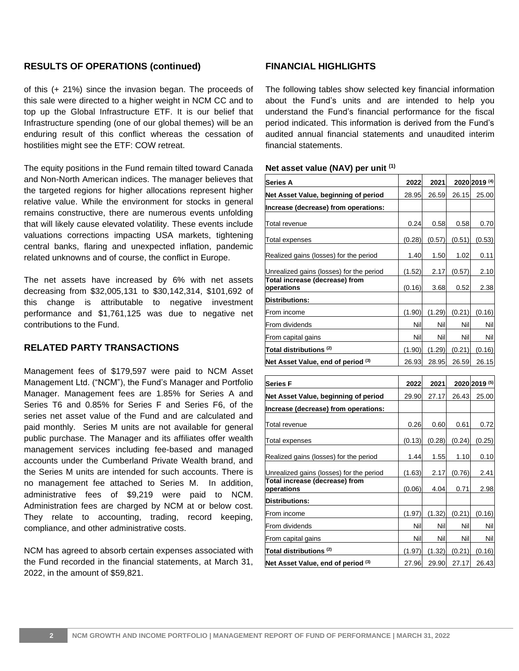#### **RESULTS OF OPERATIONS (continued)**

of this (+ 21%) since the invasion began. The proceeds of this sale were directed to a higher weight in NCM CC and to top up the Global Infrastructure ETF. It is our belief that Infrastructure spending (one of our global themes) will be an enduring result of this conflict whereas the cessation of hostilities might see the ETF: COW retreat.

The equity positions in the Fund remain tilted toward Canada and Non-North American indices. The manager believes that the targeted regions for higher allocations represent higher relative value. While the environment for stocks in general remains constructive, there are numerous events unfolding that will likely cause elevated volatility. These events include valuations corrections impacting USA markets, tightening central banks, flaring and unexpected inflation, pandemic related unknowns and of course, the conflict in Europe.

The net assets have increased by 6% with net assets decreasing from \$32,005,131 to \$30,142,314, \$101,692 of this change is attributable to negative investment performance and \$1,761,125 was due to negative net contributions to the Fund.

#### **RELATED PARTY TRANSACTIONS**

Management fees of \$179,597 were paid to NCM Asset Management Ltd. ("NCM"), the Fund's Manager and Portfolio Manager. Management fees are 1.85% for Series A and Series T6 and 0.85% for Series F and Series F6, of the series net asset value of the Fund and are calculated and paid monthly. Series M units are not available for general public purchase. The Manager and its affiliates offer wealth management services including fee-based and managed accounts under the Cumberland Private Wealth brand, and the Series M units are intended for such accounts. There is no management fee attached to Series M. In addition, administrative fees of \$9,219 were paid to NCM. Administration fees are charged by NCM at or below cost. They relate to accounting, trading, record keeping, compliance, and other administrative costs.

NCM has agreed to absorb certain expenses associated with the Fund recorded in the financial statements, at March 31, 2022, in the amount of \$59,821.

### **FINANCIAL HIGHLIGHTS**

The following tables show selected key financial information about the Fund's units and are intended to help you understand the Fund's financial performance for the fiscal period indicated. This information is derived from the Fund's audited annual financial statements and unaudited interim financial statements.

#### **Net asset value (NAV) per unit (1)**

| Series A                                     | 2022   | 2021   |        | 2020 2019 (4) |
|----------------------------------------------|--------|--------|--------|---------------|
| Net Asset Value, beginning of period         | 28.95  | 26.59  | 26.15  | 25.00         |
| Increase (decrease) from operations:         |        |        |        |               |
| Total revenue                                | 0.24   | 0.58   | 0.58   | 0.70          |
| Total expenses                               | (0.28) | (0.57) | (0.51) | (0.53)        |
| Realized gains (losses) for the period       | 1.40   | 1.50   | 1.02   | 0.11          |
| Unrealized gains (losses) for the period     | (1.52) | 2.17   | (0.57) | 2.10          |
| Total increase (decrease) from<br>operations | (0.16) | 3.68   | 0.52   | 2.38          |
| <b>Distributions:</b>                        |        |        |        |               |
| From income                                  | (1.90) | (1.29) | (0.21) | (0.16)        |
| From dividends                               | Nil    | Nil    | Nil    | Nil           |
| From capital gains                           | Nill   | Nill   | Nil    | Nil           |
| Total distributions <sup>(2)</sup>           | (1.90) | (1.29) | (0.21) | (0.16)        |
| Net Asset Value, end of period (3)           | 26.93  | 28.95  | 26.59  | 26.15         |

| Series F                                     | 2022   | 2021   |        | 2020 2019 (5) |
|----------------------------------------------|--------|--------|--------|---------------|
| Net Asset Value, beginning of period         | 29.90  | 27.17  | 26.43  | 25.00         |
| Increase (decrease) from operations:         |        |        |        |               |
| Total revenue                                | 0.26   | 0.60   | 0.61   | 0.72          |
| Total expenses                               | (0.13) | (0.28) | (0.24) | (0.25)        |
| Realized gains (losses) for the period       | 1.44   | 1.55   | 1.10   | 0.10          |
| Unrealized gains (losses) for the period     | (1.63) | 2.17   | (0.76) | 2.41          |
| Total increase (decrease) from<br>operations | (0.06) | 4.04   | 0.71   | 2.98          |
| <b>Distributions:</b>                        |        |        |        |               |
| From income                                  | (1.97) | (1.32) | (0.21) | (0.16)        |
| From dividends                               | Nill   | Nil    | Nil    | Nil           |
| From capital gains                           | Nil    | Nil    | Nil    | Nil           |
| Total distributions <sup>(2)</sup>           | (1.97) | (1.32) | (0.21) | (0.16)        |
| Net Asset Value, end of period (3)           | 27.96  | 29.90  | 27.17  | 26.43         |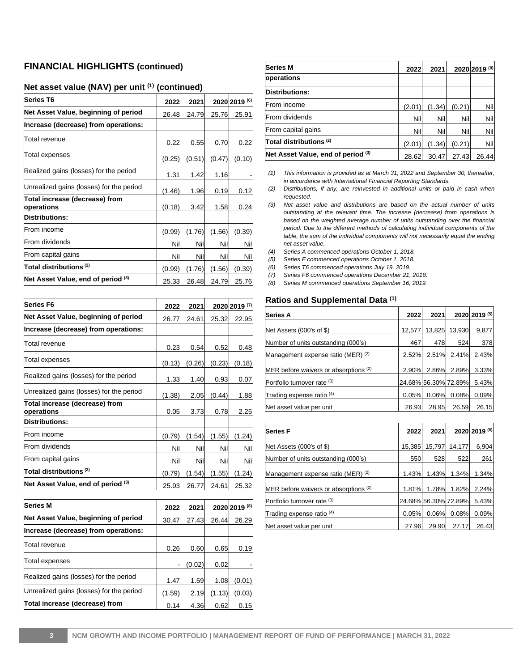#### **FINANCIAL HIGHLIGHTS (continued)**

## **Net asset value (NAV) per unit (1) (continued)**

| <b>Series T6</b>                             | 2022   | 2021   |        | 2020 2019 (6) |
|----------------------------------------------|--------|--------|--------|---------------|
| Net Asset Value, beginning of period         | 26.48  | 24.79  | 25.76  | 25.91         |
| Increase (decrease) from operations:         |        |        |        |               |
| Total revenue                                | 0.22   | 0.55   | 0.70   | 0.22          |
| Total expenses                               | (0.25) | (0.51) | (0.47) | (0.10)        |
| Realized gains (losses) for the period       | 1.31   | 1.42   | 1.16   |               |
| Unrealized gains (losses) for the period     | (1.46) | 1.96   | 0.19   | 0.12          |
| Total increase (decrease) from<br>operations | (0.18) | 3.42   | 1.58   | 0.24          |
| <b>Distributions:</b>                        |        |        |        |               |
| From income                                  | (0.99) | (1.76) | (1.56) | (0.39)        |
| From dividends                               | Nil    | Nil    | Nil    | Nil           |
| From capital gains                           | Nil    | Nil    | Nil    | Nil           |
| Total distributions <sup>(2)</sup>           | (0.99) | (1.76) | (1.56) | (0.39)        |
| Net Asset Value, end of period (3)           | 25.33  | 26.48  | 24.79  | 25.76         |

| Series F6                                      | 2022   | 2021   |        | 2020 2019 (7) |
|------------------------------------------------|--------|--------|--------|---------------|
| Net Asset Value, beginning of period           | 26.77  | 24.61  | 25.32  | 22.95         |
| Increase (decrease) from operations:           |        |        |        |               |
| Total revenue                                  | 0.23   | 0.54   | 0.52   | 0.48          |
| Total expenses                                 | (0.13) | (0.26) | (0.23) | (0.18)        |
| Realized gains (losses) for the period         | 1.33   | 1.40   | 0.93   | 0.07          |
| Unrealized gains (losses) for the period       | (1.38) | 2.05   | (0.44) | 1.88          |
| Total increase (decrease) from<br>operations   | 0.05   | 3.73   | 0.78   | 2.25          |
| <b>Distributions:</b>                          |        |        |        |               |
| From income                                    | (0.79) | (1.54) | (1.55) | (1.24)        |
| From dividends                                 | Nil    | Nil    | Nil    | Nil           |
| From capital gains                             | Nil    | Nil    | Nil    | Nill          |
| Total distributions ${}^{\textrm{\tiny{(2)}}}$ | (0.79) | (1.54) | (1.55) | (1.24)        |
| Net Asset Value, end of period (3)             | 25.93  | 26.77  | 24.61  | 25.32         |

| <b>Series M</b>                          | 2022   | 2021   |        | 2020 2019 (8) |
|------------------------------------------|--------|--------|--------|---------------|
| Net Asset Value, beginning of period     | 30.47  | 27.43  | 26.44  | 26.29         |
| Increase (decrease) from operations:     |        |        |        |               |
| Total revenue                            | 0.26   | 0.60   | 0.65   | 0.19          |
| <b>Total expenses</b>                    |        | (0.02) | 0.02   |               |
| Realized gains (losses) for the period   | 1.47   | 1.59   | 1.08   | (0.01)        |
| Unrealized gains (losses) for the period | (1.59) | 2.19   | (1.13) | (0.03)        |
| Total increase (decrease) from           | 0.14   | 4.36   | 0.62   | 0.15          |

| <b>Series M</b>                                | 2022   | 2021   |        | 2020 2019 (8) |
|------------------------------------------------|--------|--------|--------|---------------|
| operations                                     |        |        |        |               |
| <b>Distributions:</b>                          |        |        |        |               |
| From income                                    | (2.01) | (1.34) | (0.21) | Nill          |
| From dividends                                 | Nill   | Nil    | Nil    | Nil           |
| From capital gains                             | Nil    | Nill   | Nil    | Nil           |
| Total distributions ${}^{\textrm{\tiny{(2)}}}$ | (2.01) | (1.34) | (0.21) | Nil           |
| Net Asset Value, end of period (3)             | 28.62  | 30.47  | 27.43  | 26.44         |

- *(1) This information is provided as at March 31, 2022 and September 30, thereafter, in accordance with International Financial Reporting Standards.*
- *(2) Distributions, if any, are reinvested in additional units or paid in cash when requested.*
- *(3) Net asset value and distributions are based on the actual number of units outstanding at the relevant time. The increase (decrease) from operations is based on the weighted average number of units outstanding over the financial period. Due to the different methods of calculating individual components of the table, the sum of the individual components will not necessarily equal the ending net asset value.*
- *(4) Series A commenced operations October 1, 2018.*
- *(5) Series F commenced operations October 1, 2018.*

*(6) Series T6 commenced operations July 19, 2019.*

- *(7) Series F6 commenced operations December 21, 2018.*
- *(8) Series M commenced operations September 16, 2019.*

#### **Ratios and Supplemental Data (1)**

| Series A                              |        | 2022<br>2021         |        | 2020 2019 (5) |
|---------------------------------------|--------|----------------------|--------|---------------|
| Net Assets (000's of \$)              | 12,577 | 13,825               | 13,930 | 9,877         |
| Number of units outstanding (000's)   | 467    | 478                  | 524    | 378           |
| Management expense ratio (MER) (2)    |        | 2.51%<br>2.52%       | 2.41%  | 2.43%         |
| MER before waivers or absorptions (2) | 2.90%  | 2.86%                | 2.89%  | 3.33%         |
| Portfolio turnover rate (3)           |        | 24.68% 56.30% 72.89% |        | 5.43%         |
| Trading expense ratio (4)             | 0.05%  | 0.06%                | 0.08%  | 0.09%         |
| Net asset value per unit              | 26.93  | 28.95                | 26.59  | 26.15         |

| <b>Series F</b>                       | 2022   | 2021   |                      | 2020 2019 (6) |
|---------------------------------------|--------|--------|----------------------|---------------|
| Net Assets (000's of \$)              | 15.385 | 15.797 | 14.177               | 6,904         |
| Number of units outstanding (000's)   | 550    | 528    | 522                  | 261           |
| Management expense ratio (MER) (2)    | 1.43%  | 1.43%  | 1.34%                | 1.34%         |
| MER before waivers or absorptions (2) | 1.81%  | 1.78%  | 1.82%                | 2.24%         |
| Portfolio turnover rate (3)           |        |        | 24.68% 56.30% 72.89% | 5.43%         |
| Trading expense ratio (4)             | 0.05%  | 0.06%  | 0.08%                | 0.09%         |
| Net asset value per unit              | 27.96  | 29.90  | 27.17                | 26.43         |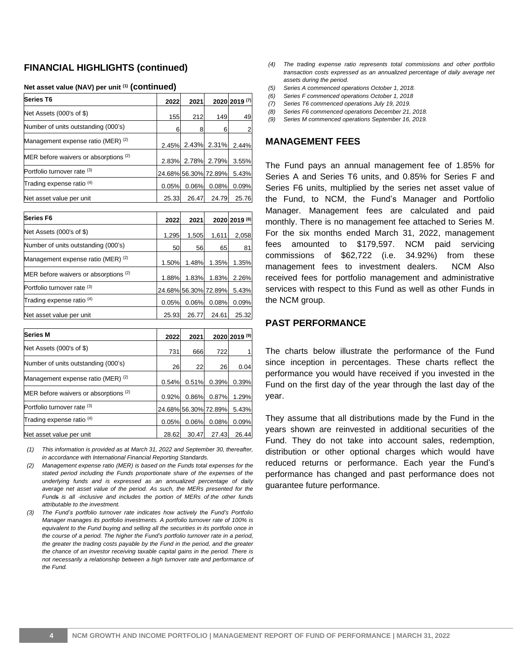#### **FINANCIAL HIGHLIGHTS (continued)**

| Series T6                             | 2022  | 2021  |                      | 2020 2019 (7) |
|---------------------------------------|-------|-------|----------------------|---------------|
| Net Assets (000's of \$)              | 155   | 212   | 149                  | 49            |
| Number of units outstanding (000's)   | 6     |       | 6                    |               |
| Management expense ratio (MER) (2)    |       |       | 2.45% 2.43% 2.31%    | 2.44%         |
| MER before waivers or absorptions (2) |       |       | 2.83% 2.78% 2.79%    | 3.55%         |
| Portfolio turnover rate (3)           |       |       | 24.68% 56.30% 72.89% | 5.43%         |
| Trading expense ratio <sup>(4)</sup>  | 0.05% | 0.06% | 0.08%                | 0.09%         |
| Net asset value per unit              | 25.33 | 26.47 | 24.79                | 25.76         |

#### **Net asset value (NAV) per unit (1) (continued)**

| Series F6                             | 2022      | 2021                 |       | 2020 2019 (8) |
|---------------------------------------|-----------|----------------------|-------|---------------|
| Net Assets (000's of \$)              | 1,295     | 1,505                | 1,611 | 2,058         |
| Number of units outstanding (000's)   | <b>50</b> | 56                   | 65    | 81            |
| Management expense ratio (MER) (2)    | 1.50%     | 1.48%                | 1.35% | 1.35%         |
| MER before waivers or absorptions (2) | 1.88%     | 1.83%                | 1.83% | 2.26%         |
| Portfolio turnover rate (3)           |           | 24.68% 56.30% 72.89% |       | 5.43%         |
| Trading expense ratio <sup>(4)</sup>  | 0.05%     | 0.06%                | 0.08% | 0.09%         |
| Net asset value per unit              | 25.93     | 26.77                | 24.61 | 25.32         |

| <b>Series M</b>                       | 2022  | 2021                 |       | 2020 2019 (9) |
|---------------------------------------|-------|----------------------|-------|---------------|
| Net Assets (000's of \$)              | 731   | 666                  | 722   |               |
| Number of units outstanding (000's)   | 26    | 22                   | 26    | 0.04          |
| Management expense ratio (MER) (2)    | 0.54% | 0.51%                | 0.39% | 0.39%         |
| MER before waivers or absorptions (2) | 0.92% | 0.86%                | 0.87% | 1.29%         |
| Portfolio turnover rate (3)           |       | 24.68% 56.30% 72.89% |       | 5.43%         |
| Trading expense ratio <sup>(4)</sup>  | 0.05% | 0.06%                | 0.08% | 0.09%         |
| Net asset value per unit              | 28.62 | 30.47                | 27.43 | 26.44         |

*(1) This information is provided as at March 31, 2022 and September 30, thereafter, in accordance with International Financial Reporting Standards.*

- *(2) Management expense ratio (MER) is based on the Funds total expenses for the stated period including the Funds proportionate share of the expenses of the underlying funds and is expressed as an annualized percentage of daily average net asset value of the period. As such, the MERs presented for the Funds is all -inclusive and includes the portion of MERs of the other funds attributable to the investment.*
- *(3) The Fund's portfolio turnover rate indicates how actively the Fund's Portfolio Manager manages its portfolio investments. A portfolio turnover rate of 100% is equivalent to the Fund buying and selling all the securities in its portfolio once in the course of a period. The higher the Fund's portfolio turnover rate in a period, the greater the trading costs payable by the Fund in the period, and the greater the chance of an investor receiving taxable capital gains in the period. There is not necessarily a relationship between a high turnover rate and performance of the Fund.*
- *(4) The trading expense ratio represents total commissions and other portfolio transaction costs expressed as an annualized percentage of daily average net assets during the period.*
- *(5) Series A commenced operations October 1, 2018.*
- *(6) Series F commenced operations October 1, 2018*
- *(7) Series T6 commenced operations July 19, 2019.*
- *(8) Series F6 commenced operations December 21, 2018. (9) Series M commenced operations September 16, 2019.*

#### **MANAGEMENT FEES**

The Fund pays an annual management fee of 1.85% for Series A and Series T6 units, and 0.85% for Series F and Series F6 units, multiplied by the series net asset value of the Fund, to NCM, the Fund's Manager and Portfolio Manager. Management fees are calculated and paid monthly. There is no management fee attached to Series M. For the six months ended March 31, 2022, management fees amounted to \$179,597. NCM paid servicing commissions of \$62,722 (i.e. 34.92%) from these management fees to investment dealers. NCM Also received fees for portfolio management and administrative services with respect to this Fund as well as other Funds in the NCM group.

#### **PAST PERFORMANCE**

The charts below illustrate the performance of the Fund since inception in percentages. These charts reflect the performance you would have received if you invested in the Fund on the first day of the year through the last day of the year.

They assume that all distributions made by the Fund in the years shown are reinvested in additional securities of the Fund. They do not take into account sales, redemption, distribution or other optional charges which would have reduced returns or performance. Each year the Fund's performance has changed and past performance does not guarantee future performance.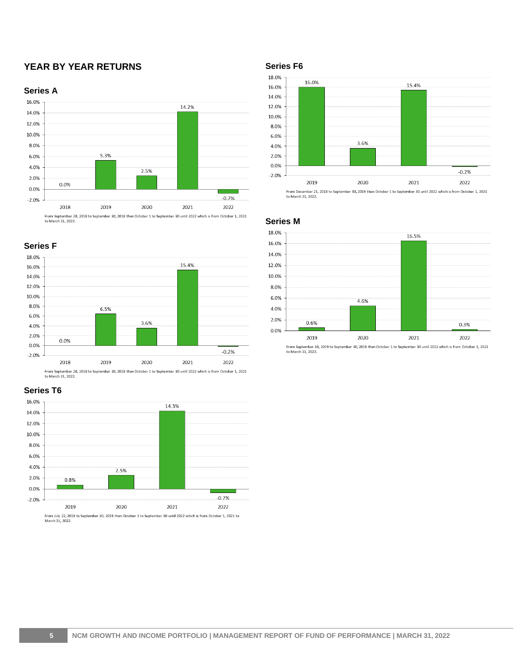## **YEAR BY YEAR RETURNS**







From September 28, 2018 to September 30, 2018 then October 1 to September 30 until 2022 which is from October 1, 2021<br>to March 31, 2022.







**Series F6**



**Series M**



From September 16, 2019 to September 30, 2019 then October 1 to September 30 until 2022 which is from October 1, 2021<br>to March 31, 2022.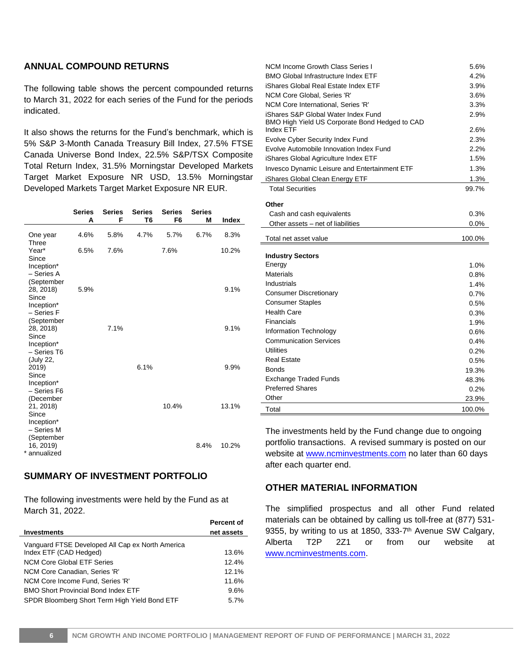### **ANNUAL COMPOUND RETURNS**

The following table shows the percent compounded returns to March 31, 2022 for each series of the Fund for the periods indicated.

It also shows the returns for the Fund's benchmark, which is 5% S&P 3-Month Canada Treasury Bill Index, 27.5% FTSE Canada Universe Bond Index, 22.5% S&P/TSX Composite Total Return Index, 31.5% Morningstar Developed Markets Target Market Exposure NR USD, 13.5% Morningstar Developed Markets Target Market Exposure NR EUR.

|                                                              | <b>Series</b><br>Α | <b>Series</b><br>F | <b>Series</b><br>T6 | <b>Series</b><br>F <sub>6</sub> | <b>Series</b><br>М | Index |
|--------------------------------------------------------------|--------------------|--------------------|---------------------|---------------------------------|--------------------|-------|
| One year<br>Three                                            | 4.6%               | 5.8%               | 4.7%                | 5.7%                            | 6.7%               | 8.3%  |
| Year*<br>Since<br>Inception*<br>- Series A<br>(September     | 6.5%               | 7.6%               |                     | 7.6%                            |                    | 10.2% |
| 28, 2018)<br>Since<br>Inception*<br>- Series F<br>(September | 5.9%               |                    |                     |                                 |                    | 9.1%  |
| 28, 2018)<br>Since<br>Inception*<br>- Series T6<br>(July 22, |                    | 7.1%               |                     |                                 |                    | 9.1%  |
| 2019)<br>Since<br>Inception*<br>- Series F6<br>(December     |                    |                    | 6.1%                |                                 |                    | 9.9%  |
| 21, 2018)<br>Since<br>Inception*<br>- Series M<br>(September |                    |                    |                     | 10.4%                           |                    | 13.1% |
| 16, 2019)<br>* annualized                                    |                    |                    |                     |                                 | 8.4%               | 10.2% |

### **SUMMARY OF INVESTMENT PORTFOLIO**

The following investments were held by the Fund as at March 31, 2022.

|                                                  | Percent of |
|--------------------------------------------------|------------|
| <b>Investments</b>                               | net assets |
| Vanguard FTSE Developed All Cap ex North America |            |
| Index ETF (CAD Hedged)                           | 13.6%      |
| NCM Core Global ETF Series                       | 12.4%      |
| NCM Core Canadian, Series 'R'                    | 12.1%      |
| NCM Core Income Fund, Series 'R'                 | 11.6%      |
| <b>BMO Short Provincial Bond Index ETF</b>       | 9.6%       |
| SPDR Bloomberg Short Term High Yield Bond ETF    | 5.7%       |

| <b>NCM Income Growth Class Series I</b>        | 5.6%            |
|------------------------------------------------|-----------------|
| <b>BMO Global Infrastructure Index ETF</b>     | 4.2%            |
| iShares Global Real Estate Index ETF           | 3.9%            |
| NCM Core Global, Series 'R'                    | 3.6%            |
| NCM Core International, Series 'R'             | 3.3%            |
| iShares S&P Global Water Index Fund            | 2.9%            |
| BMO High Yield US Corporate Bond Hedged to CAD |                 |
| <b>Index ETF</b>                               | 2.6%            |
| Evolve Cyber Security Index Fund               | 2.3%            |
| Evolve Automobile Innovation Index Fund        | 2.2%            |
| iShares Global Agriculture Index ETF           | 1.5%            |
| Invesco Dynamic Leisure and Entertainment ETF  | 1.3%            |
| iShares Global Clean Energy ETF                | 1.3%            |
| <b>Total Securities</b>                        | 99.7%           |
| Other                                          |                 |
| Cash and cash equivalents                      | 0.3%            |
| Other assets - net of liabilities              | $0.0\%$         |
|                                                |                 |
| Total net asset value                          | 100.0%          |
| <b>Industry Sectors</b>                        |                 |
| Energy                                         | 1.0%            |
| <b>Materials</b>                               | 0.8%            |
|                                                |                 |
|                                                |                 |
| Industrials                                    | 1.4%            |
| <b>Consumer Discretionary</b>                  | 0.7%            |
| <b>Consumer Staples</b>                        | 0.5%            |
| <b>Health Care</b>                             | 0.3%            |
| Financials                                     | 1.9%            |
| Information Technology                         | 0.6%            |
| <b>Communication Services</b>                  | 0.4%            |
| <b>Utilities</b>                               | 0.2%            |
| <b>Real Estate</b><br><b>Bonds</b>             | 0.5%            |
|                                                | 19.3%           |
| <b>Exchange Traded Funds</b>                   | 48.3%           |
| <b>Preferred Shares</b>                        | 0.2%            |
| Other<br>Total                                 | 23.9%<br>100.0% |

The investments held by the Fund change due to ongoing portfolio transactions. A revised summary is posted on our website at www.ncminvestments.com no later than 60 days after each quarter end.

#### **OTHER MATERIAL INFORMATION**

The simplified prospectus and all other Fund related materials can be obtained by calling us toll-free at (877) 531- 9355, by writing to us at 1850, 333-7<sup>th</sup> Avenue SW Calgary, Alberta T2P 2Z1 or from our website at [www.ncminvestments.com.](http://www.ncminvestments.com/)